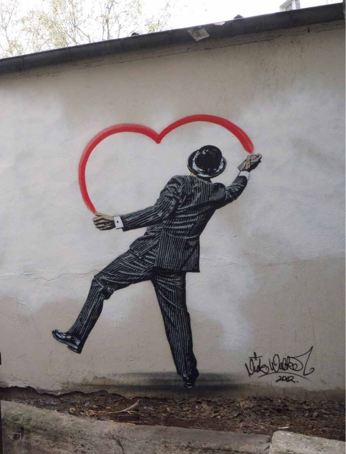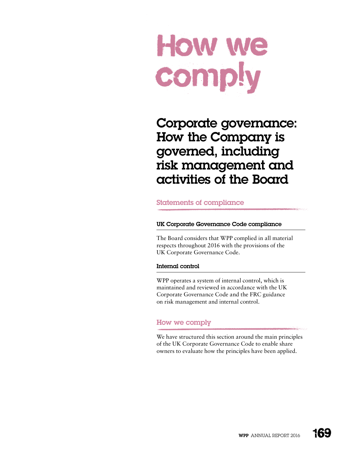# **HOW We** comply

Corporate governance: How the Company is governed, including risk management and activities of the Board

## Statements of compliance

#### UK Corporate Governance Code compliance

The Board considers that WPP complied in all material respects throughout 2016 with the provisions of the UK Corporate Governance Code.

#### Internal control

WPP operates a system of internal control, which is maintained and reviewed in accordance with the UK Corporate Governance Code and the FRC guidance on risk management and internal control.

# How we comply

We have structured this section around the main principles of the UK Corporate Governance Code to enable share owners to evaluate how the principles have been applied.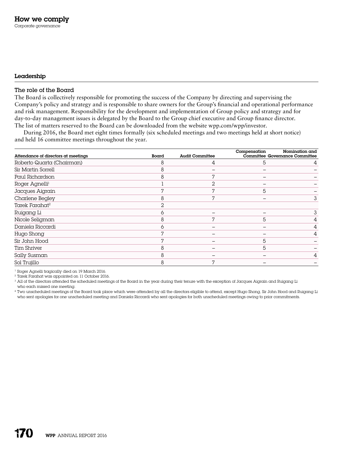#### Leadership

#### The role of the Board

The Board is collectively responsible for promoting the success of the Company by directing and supervising the Company's policy and strategy and is responsible to share owners for the Group's financial and operational performance and risk management. Responsibility for the development and implementation of Group policy and strategy and for day-to-day management issues is delegated by the Board to the Group chief executive and Group finance director. The list of matters reserved to the Board can be downloaded from the website [wpp.com/wpp/investor.](http://www.wpp.com/wpp/investor/)

During 2016, the Board met eight times formally (six scheduled meetings and two meetings held at short notice) and held 16 committee meetings throughout the year.

| Attendance of directors at meetings | Board          | <b>Audit Committee</b> | Compensation | Nomination and<br><b>Committee Governance Committee</b> |
|-------------------------------------|----------------|------------------------|--------------|---------------------------------------------------------|
| Roberto Quarta (Chairman)           | 8              | 4                      | 5            |                                                         |
| Sir Martin Sorrell                  | 8              |                        |              |                                                         |
| Paul Richardson                     | 8              | 5                      |              |                                                         |
| Roger Agnelli <sup>1</sup>          |                | $\mathfrak{D}$         |              |                                                         |
| Jacques Aigrain                     | 7              | ┍                      | 5            |                                                         |
| Charlene Begley                     | 8              |                        |              | 3                                                       |
| Tarek Farahat <sup>2</sup>          | $\mathfrak{D}$ |                        |              |                                                         |
| Ruigang Li                          | 6              |                        |              |                                                         |
| Nicole Seligman                     | 8              |                        | 5            |                                                         |
| Daniela Riccardi                    | 6              |                        |              |                                                         |
| Hugo Shong                          | 7              |                        |              |                                                         |
| Sir John Hood                       | 7              |                        | 5            |                                                         |
| Tim Shriver                         | 8              |                        | 5            |                                                         |
| Sally Susman                        | 8              |                        |              | 4                                                       |
| Sol Trujillo                        | 8              |                        |              |                                                         |

<sup>1</sup> Roger Agnelli tragically died on 19 March 2016.

<sup>2</sup> Tarek Farahat was appointed on 11 October 2016.

 $^{\rm 3}$  All of the directors attended the scheduled meetings of the Board in the year during their tenure with the exception of Jacques Aigrain and Ruigang Li who each missed one meeting.

4 Two unscheduled meetings of the Board took place which were attended by all the directors eligible to attend, except Hugo Shong, Sir John Hood and Ruigang Li who sent apologies for one unscheduled meeting and Daniela Riccardi who sent apologies for both unscheduled meetings owing to prior commitments.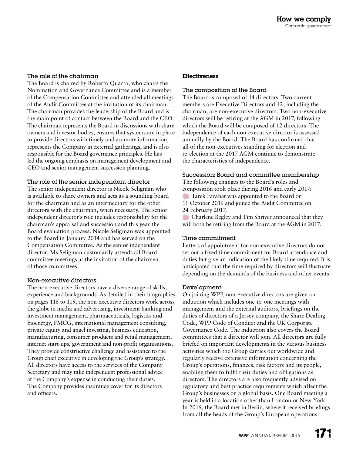#### The role of the chairman

The Board is chaired by Roberto Quarta, who chairs the Nomination and Governance Committee and is a member of the Compensation Committee and attended all meetings of the Audit Committee at the invitation of its chairman. The chairman provides the leadership of the Board and is the main point of contact between the Board and the CEO. The chairman represents the Board in discussions with share owners and investor bodies, ensures that systems are in place to provide directors with timely and accurate information, represents the Company in external gatherings, and is also responsible for the Board governance principles. He has led the ongoing emphasis on management development and CEO and senior management succession planning.

#### The role of the senior independent director

The senior independent director is Nicole Seligman who is available to share owners and acts as a sounding board for the chairman and as an intermediary for the other directors with the chairman, when necessary. The senior independent director's role includes responsibility for the chairman's appraisal and succession and this year the Board evaluation process. Nicole Seligman was appointed to the Board in January 2014 and has served on the Compensation Committee. As the senior independent director, Ms Seligman customarily attends all Board committee meetings at the invitation of the chairmen of those committees.

#### Non-executive directors

The non-executive directors have a diverse range of skills, experience and backgrounds. As detailed in their biographies on pages 116 to 119, the non-executive directors work across the globe in media and advertising, investment banking and investment management, pharmaceuticals, logistics and bioenergy, FMCG, international management consulting, private equity and angel investing, business education, manufacturing, consumer products and retail management, internet start-ups, government and non-profit organisations. They provide constructive challenge and assistance to the Group chief executive in developing the Group's strategy. All directors have access to the services of the Company Secretary and may take independent professional advice at the Company's expense in conducting their duties. The Company provides insurance cover for its directors and officers.

#### Effectiveness

#### The composition of the Board

The Board is composed of 14 directors. Two current members are Executive Directors and 12, including the chairman, are non-executive directors. Two non-executive directors will be retiring at the AGM in 2017, following which the Board will be composed of 12 directors. The independence of each non-executive director is assessed annually by the Board. The Board has confirmed that all of the non-executives standing for election and re-election at the 2017 AGM continue to demonstrate the characteristics of independence.

#### Succession: Board and committee membership

The following changes to the Board's roles and composition took place during 2016 and early 2017: **Tarek Farahat was appointed to the Board on** 11 October 2016 and joined the Audit Committee on 24 February 2017.

**Charlene Begley and Tim Shriver announced that they** will both be retiring from the Board at the AGM in 2017.

#### Time commitment

Letters of appointment for non-executive directors do not set out a fixed time commitment for Board attendance and duties but give an indication of the likely time required. It is anticipated that the time required by directors will fluctuate depending on the demands of the business and other events.

#### Development

On joining WPP, non-executive directors are given an induction which includes one-to-one meetings with management and the external auditors, briefings on the duties of directors of a Jersey company, the Share Dealing Code, WPP Code of Conduct and the UK Corporate Governance Code. The induction also covers the Board committees that a director will join. All directors are fully briefed on important developments in the various business activities which the Group carries out worldwide and regularly receive extensive information concerning the Group's operations, finances, risk factors and its people, enabling them to fulfil their duties and obligations as directors. The directors are also frequently advised on regulatory and best practice requirements which affect the Group's businesses on a global basis. One Board meeting a year is held in a location other than London or New York. In 2016, the Board met in Berlin, where it received briefings from all the heads of the Group's European operations.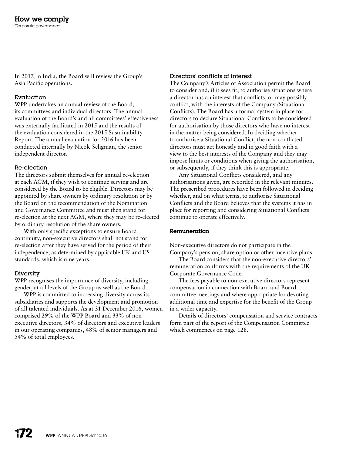In 2017, in India, the Board will review the Group's Asia Pacific operations.

#### Evaluation

WPP undertakes an annual review of the Board, its committees and individual directors. The annual evaluation of the Board's and all committees' effectiveness was externally facilitated in 2015 and the results of the evaluation considered in the 2015 Sustainability Report. The annual evaluation for 2016 has been conducted internally by Nicole Seligman, the senior independent director.

#### Re-election

The directors submit themselves for annual re-election at each AGM, if they wish to continue serving and are considered by the Board to be eligible. Directors may be appointed by share owners by ordinary resolution or by the Board on the recommendation of the Nomination and Governance Committee and must then stand for re-election at the next AGM, where they may be re-elected by ordinary resolution of the share owners.

With only specific exceptions to ensure Board continuity, non-executive directors shall not stand for re-election after they have served for the period of their independence, as determined by applicable UK and US standards, which is nine years.

#### Diversity

WPP recognises the importance of diversity, including gender, at all levels of the Group as well as the Board.

WPP is committed to increasing diversity across its subsidiaries and supports the development and promotion of all talented individuals. As at 31 December 2016, women comprised 29% of the WPP Board and 33% of nonexecutive directors, 34% of directors and executive leaders in our operating companies, 48% of senior managers and 54% of total employees.

#### Directors' conflicts of interest

The Company's Articles of Association permit the Board to consider and, if it sees fit, to authorise situations where a director has an interest that conflicts, or may possibly conflict, with the interests of the Company (Situational Conflicts). The Board has a formal system in place for directors to declare Situational Conflicts to be considered for authorisation by those directors who have no interest in the matter being considered. In deciding whether to authorise a Situational Conflict, the non-conflicted directors must act honestly and in good faith with a view to the best interests of the Company and they may impose limits or conditions when giving the authorisation, or subsequently, if they think this is appropriate.

Any Situational Conflicts considered, and any authorisations given, are recorded in the relevant minutes. The prescribed procedures have been followed in deciding whether, and on what terms, to authorise Situational Conflicts and the Board believes that the systems it has in place for reporting and considering Situational Conflicts continue to operate effectively.

#### Remuneration

Non-executive directors do not participate in the Company's pension, share option or other incentive plans.

The Board considers that the non-executive directors' remuneration conforms with the requirements of the UK Corporate Governance Code.

The fees payable to non-executive directors represent compensation in connection with Board and Board committee meetings and where appropriate for devoting additional time and expertise for the benefit of the Group in a wider capacity.

Details of directors' compensation and service contracts form part of the report of the Compensation Committee which commences on page 128.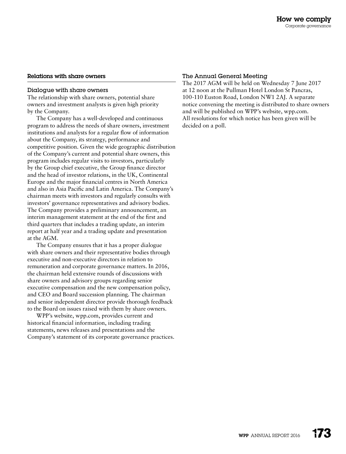#### Relations with share owners

#### Dialogue with share owners

The relationship with share owners, potential share owners and investment analysts is given high priority by the Company.

The Company has a well-developed and continuous program to address the needs of share owners, investment institutions and analysts for a regular flow of information about the Company, its strategy, performance and competitive position. Given the wide geographic distribution of the Company's current and potential share owners, this program includes regular visits to investors, particularly by the Group chief executive, the Group finance director and the head of investor relations, in the UK, Continental Europe and the major financial centres in North America and also in Asia Pacific and Latin America. The Company's chairman meets with investors and regularly consults with investors' governance representatives and advisory bodies. The Company provides a preliminary announcement, an interim management statement at the end of the first and third quarters that includes a trading update, an interim report at half year and a trading update and presentation at the AGM.

The Company ensures that it has a proper dialogue with share owners and their representative bodies through executive and non-executive directors in relation to remuneration and corporate governance matters. In 2016, the chairman held extensive rounds of discussions with share owners and advisory groups regarding senior executive compensation and the new compensation policy, and CEO and Board succession planning. The chairman and senior independent director provide thorough feedback to the Board on issues raised with them by share owners.

WPP's website, [wpp.com,](http://www.wpp.com/wpp//) provides current and historical financial information, including trading statements, news releases and presentations and the Company's statement of its corporate governance practices.

#### The Annual General Meeting

The 2017 AGM will be held on Wednesday 7 June 2017 at 12 noon at the Pullman Hotel London St Pancras, 100-110 Euston Road, London NW1 2AJ. A separate notice convening the meeting is distributed to share owners and will be published on WPP's website, [wpp.com](http://www.wpp.com/wpp//). All resolutions for which notice has been given will be decided on a poll.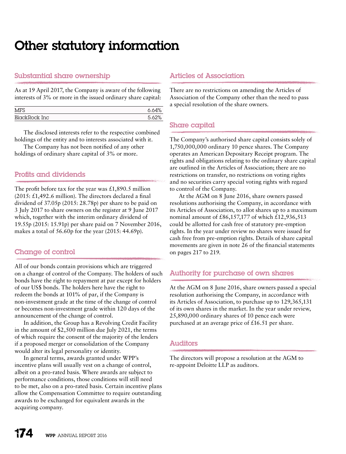# Other statutory information

# Substantial share ownership

As at 19 April 2017, the Company is aware of the following interests of 3% or more in the issued ordinary share capital:

| MFS           | 70         |
|---------------|------------|
| BlackRock Inc | 7%<br>Ε Κ' |

The disclosed interests refer to the respective combined holdings of the entity and to interests associated with it.

The Company has not been notified of any other holdings of ordinary share capital of 3% or more.

# Profits and dividends

The profit before tax for the year was  $£1,890.5$  million  $(2015; \text{\textsterling}1.492.6 \text{ million})$ . The directors declared a final dividend of 37.05p (2015: 28.78p) per share to be paid on 3 July 2017 to share owners on the register at 9 June 2017 which, together with the interim ordinary dividend of 19.55p (2015: 15.91p) per share paid on 7 November 2016, makes a total of 56.60p for the year (2015: 44.69p).

# Change of control

All of our bonds contain provisions which are triggered on a change of control of the Company. The holders of such bonds have the right to repayment at par except for holders of our US\$ bonds. The holders here have the right to redeem the bonds at 101% of par, if the Company is non-investment grade at the time of the change of control or becomes non-investment grade within 120 days of the announcement of the change of control.

In addition, the Group has a Revolving Credit Facility in the amount of \$2,500 million due July 2021, the terms of which require the consent of the majority of the lenders if a proposed merger or consolidation of the Company would alter its legal personality or identity.

In general terms, awards granted under WPP's incentive plans will usually vest on a change of control, albeit on a pro-rated basis. Where awards are subject to performance conditions, those conditions will still need to be met, also on a pro-rated basis. Certain incentive plans allow the Compensation Committee to require outstanding awards to be exchanged for equivalent awards in the acquiring company.

# Articles of Association

There are no restrictions on amending the Articles of Association of the Company other than the need to pass a special resolution of the share owners.

# Share capital

The Company's authorised share capital consists solely of 1,750,000,000 ordinary 10 pence shares. The Company operates an American Depositary Receipt program. The rights and obligations relating to the ordinary share capital are outlined in the Articles of Association; there are no restrictions on transfer, no restrictions on voting rights and no securities carry special voting rights with regard to control of the Company.

At the AGM on 8 June 2016, share owners passed resolutions authorising the Company, in accordance with its Articles of Association, to allot shares up to a maximum nominal amount of £86,157,177 of which  $\hat{E}$ 12,936,513 could be allotted for cash free of statutory pre-emption rights. In the year under review no shares were issued for cash free from pre-emption rights. Details of share capital movements are given in note 26 of the financial statements on pages 217 to 219.

# Authority for purchase of own shares

At the AGM on 8 June 2016, share owners passed a special resolution authorising the Company, in accordance with its Articles of Association, to purchase up to 129,365,131 of its own shares in the market. In the year under review, 25,890,000 ordinary shares of 10 pence each were purchased at an average price of £16.51 per share.

## Auditors

The directors will propose a resolution at the AGM to re-appoint Deloitte LLP as auditors.